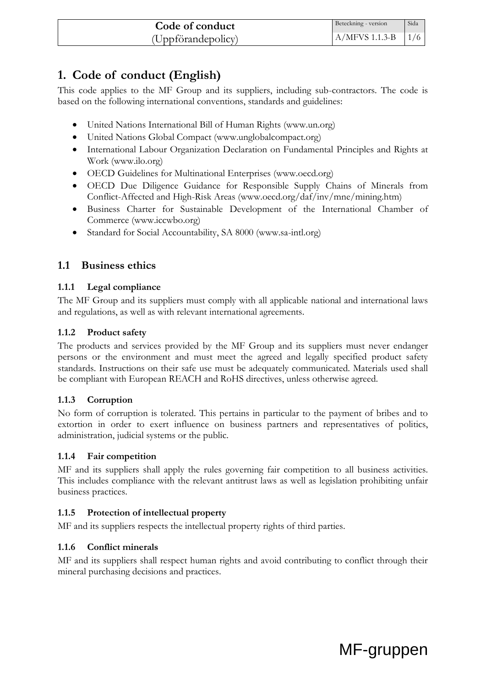# **1. Code of conduct (English)**

This code applies to the MF Group and its suppliers, including sub-contractors. The code is based on the following international conventions, standards and guidelines:

- United Nations International Bill of Human Rights (www.un.org)
- United Nations Global Compact (www.unglobalcompact.org)
- International Labour Organization Declaration on Fundamental Principles and Rights at Work (www.ilo.org)
- OECD Guidelines for Multinational Enterprises (www.oecd.org)
- OECD Due Diligence Guidance for Responsible Supply Chains of Minerals from Conflict-Affected and High-Risk Areas (www.oecd.org/daf/inv/mne/mining.htm)
- Business Charter for Sustainable Development of the International Chamber of Commerce (www.iccwbo.org)
- Standard for Social Accountability, SA 8000 (www.sa-intl.org)

# **1.1 Business ethics**

#### **1.1.1 Legal compliance**

The MF Group and its suppliers must comply with all applicable national and international laws and regulations, as well as with relevant international agreements.

#### **1.1.2 Product safety**

The products and services provided by the MF Group and its suppliers must never endanger persons or the environment and must meet the agreed and legally specified product safety standards. Instructions on their safe use must be adequately communicated. Materials used shall be compliant with European REACH and RoHS directives, unless otherwise agreed.

### **1.1.3 Corruption**

No form of corruption is tolerated. This pertains in particular to the payment of bribes and to extortion in order to exert influence on business partners and representatives of politics, administration, judicial systems or the public.

#### **1.1.4 Fair competition**

MF and its suppliers shall apply the rules governing fair competition to all business activities. This includes compliance with the relevant antitrust laws as well as legislation prohibiting unfair business practices.

### **1.1.5 Protection of intellectual property**

MF and its suppliers respects the intellectual property rights of third parties.

### **1.1.6 Conflict minerals**

MF and its suppliers shall respect human rights and avoid contributing to conflict through their mineral purchasing decisions and practices.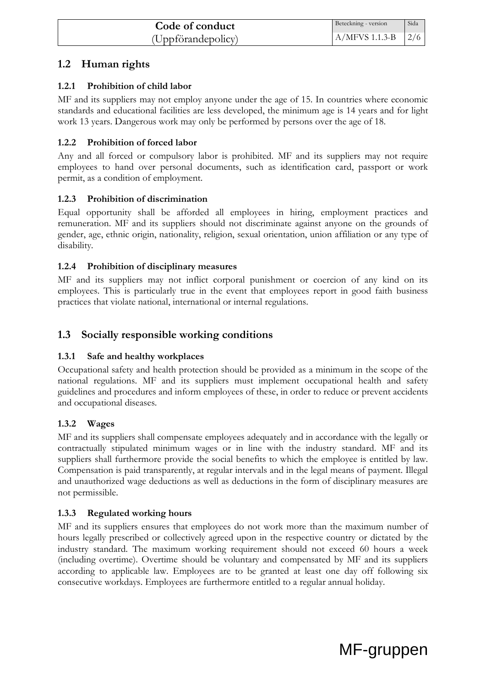# **1.2 Human rights**

# **1.2.1 Prohibition of child labor**

MF and its suppliers may not employ anyone under the age of 15. In countries where economic standards and educational facilities are less developed, the minimum age is 14 years and for light work 13 years. Dangerous work may only be performed by persons over the age of 18.

# **1.2.2 Prohibition of forced labor**

Any and all forced or compulsory labor is prohibited. MF and its suppliers may not require employees to hand over personal documents, such as identification card, passport or work permit, as a condition of employment.

## **1.2.3 Prohibition of discrimination**

Equal opportunity shall be afforded all employees in hiring, employment practices and remuneration. MF and its suppliers should not discriminate against anyone on the grounds of gender, age, ethnic origin, nationality, religion, sexual orientation, union affiliation or any type of disability.

## **1.2.4 Prohibition of disciplinary measures**

MF and its suppliers may not inflict corporal punishment or coercion of any kind on its employees. This is particularly true in the event that employees report in good faith business practices that violate national, international or internal regulations.

# **1.3 Socially responsible working conditions**

# **1.3.1 Safe and healthy workplaces**

Occupational safety and health protection should be provided as a minimum in the scope of the national regulations. MF and its suppliers must implement occupational health and safety guidelines and procedures and inform employees of these, in order to reduce or prevent accidents and occupational diseases.

# **1.3.2 Wages**

MF and its suppliers shall compensate employees adequately and in accordance with the legally or contractually stipulated minimum wages or in line with the industry standard. MF and its suppliers shall furthermore provide the social benefits to which the employee is entitled by law. Compensation is paid transparently, at regular intervals and in the legal means of payment. Illegal and unauthorized wage deductions as well as deductions in the form of disciplinary measures are not permissible.

# **1.3.3 Regulated working hours**

MF and its suppliers ensures that employees do not work more than the maximum number of hours legally prescribed or collectively agreed upon in the respective country or dictated by the industry standard. The maximum working requirement should not exceed 60 hours a week (including overtime). Overtime should be voluntary and compensated by MF and its suppliers according to applicable law. Employees are to be granted at least one day off following six consecutive workdays. Employees are furthermore entitled to a regular annual holiday.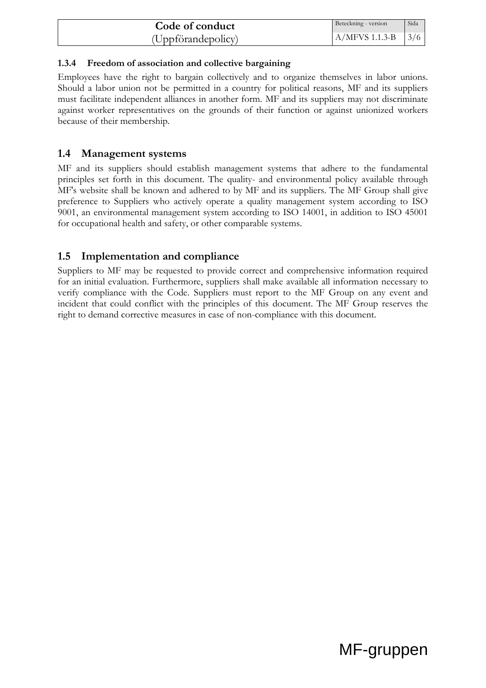| Code of conduct    | Beteckning - version | Sida |
|--------------------|----------------------|------|
| (Uppförandepolicy) | $A/MFVS$ 1.1.3-B     | 13/6 |

#### **1.3.4 Freedom of association and collective bargaining**

Employees have the right to bargain collectively and to organize themselves in labor unions. Should a labor union not be permitted in a country for political reasons, MF and its suppliers must facilitate independent alliances in another form. MF and its suppliers may not discriminate against worker representatives on the grounds of their function or against unionized workers because of their membership.

### **1.4 Management systems**

MF and its suppliers should establish management systems that adhere to the fundamental principles set forth in this document. The quality- and environmental policy available through MF's website shall be known and adhered to by MF and its suppliers. The MF Group shall give preference to Suppliers who actively operate a quality management system according to ISO 9001, an environmental management system according to ISO 14001, in addition to ISO 45001 for occupational health and safety, or other comparable systems.

## **1.5 Implementation and compliance**

Suppliers to MF may be requested to provide correct and comprehensive information required for an initial evaluation. Furthermore, suppliers shall make available all information necessary to verify compliance with the Code. Suppliers must report to the MF Group on any event and incident that could conflict with the principles of this document. The MF Group reserves the right to demand corrective measures in case of non-compliance with this document.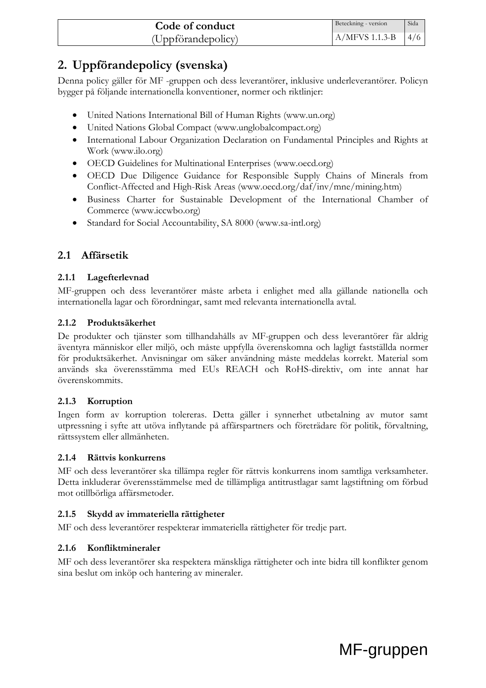| Code of conduct    | Beteckning - version | Sida |
|--------------------|----------------------|------|
| (Uppförandepolicy) | $A/MFVS$ 1.1.3-B     | 14/6 |

# **2. Uppförandepolicy (svenska)**

Denna policy gäller för MF -gruppen och dess leverantörer, inklusive underleverantörer. Policyn bygger på följande internationella konventioner, normer och riktlinjer:

- United Nations International Bill of Human Rights (www.un.org)
- United Nations Global Compact (www.unglobalcompact.org)
- International Labour Organization Declaration on Fundamental Principles and Rights at Work (www.ilo.org)
- OECD Guidelines for Multinational Enterprises (www.oecd.org)
- OECD Due Diligence Guidance for Responsible Supply Chains of Minerals from Conflict-Affected and High-Risk Areas (www.oecd.org/daf/inv/mne/mining.htm)
- Business Charter for Sustainable Development of the International Chamber of Commerce (www.iccwbo.org)
- Standard for Social Accountability, SA 8000 (www.sa-intl.org)

# **2.1 Affärsetik**

#### **2.1.1 Lagefterlevnad**

MF-gruppen och dess leverantörer måste arbeta i enlighet med alla gällande nationella och internationella lagar och förordningar, samt med relevanta internationella avtal.

#### **2.1.2 Produktsäkerhet**

De produkter och tjänster som tillhandahålls av MF-gruppen och dess leverantörer får aldrig äventyra människor eller miljö, och måste uppfylla överenskomna och lagligt fastställda normer för produktsäkerhet. Anvisningar om säker användning måste meddelas korrekt. Material som används ska överensstämma med EUs REACH och RoHS-direktiv, om inte annat har överenskommits.

#### **2.1.3 Korruption**

Ingen form av korruption tolereras. Detta gäller i synnerhet utbetalning av mutor samt utpressning i syfte att utöva inflytande på affärspartners och företrädare för politik, förvaltning, rättssystem eller allmänheten.

#### **2.1.4 Rättvis konkurrens**

MF och dess leverantörer ska tillämpa regler för rättvis konkurrens inom samtliga verksamheter. Detta inkluderar överensstämmelse med de tillämpliga antitrustlagar samt lagstiftning om förbud mot otillbörliga affärsmetoder.

#### **2.1.5 Skydd av immateriella rättigheter**

MF och dess leverantörer respekterar immateriella rättigheter för tredje part.

### **2.1.6 Konfliktmineraler**

MF och dess leverantörer ska respektera mänskliga rättigheter och inte bidra till konflikter genom sina beslut om inköp och hantering av mineraler.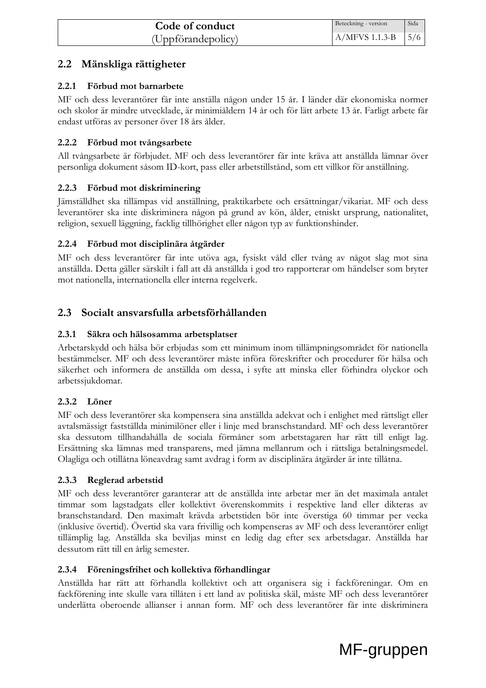# **2.2 Mänskliga rättigheter**

### **2.2.1 Förbud mot barnarbete**

MF och dess leverantörer får inte anställa någon under 15 år. I länder där ekonomiska normer och skolor är mindre utvecklade, är minimiåldern 14 år och för lätt arbete 13 år. Farligt arbete får endast utföras av personer över 18 års ålder.

### **2.2.2 Förbud mot tvångsarbete**

All tvångsarbete är förbjudet. MF och dess leverantörer får inte kräva att anställda lämnar över personliga dokument såsom ID-kort, pass eller arbetstillstånd, som ett villkor för anställning.

## **2.2.3 Förbud mot diskriminering**

Jämställdhet ska tillämpas vid anställning, praktikarbete och ersättningar/vikariat. MF och dess leverantörer ska inte diskriminera någon på grund av kön, ålder, etniskt ursprung, nationalitet, religion, sexuell läggning, facklig tillhörighet eller någon typ av funktionshinder.

## **2.2.4 Förbud mot disciplinära åtgärder**

MF och dess leverantörer får inte utöva aga, fysiskt våld eller tvång av något slag mot sina anställda. Detta gäller särskilt i fall att då anställda i god tro rapporterar om händelser som bryter mot nationella, internationella eller interna regelverk.

# **2.3 Socialt ansvarsfulla arbetsförhållanden**

## **2.3.1 Säkra och hälsosamma arbetsplatser**

Arbetarskydd och hälsa bör erbjudas som ett minimum inom tillämpningsområdet för nationella bestämmelser. MF och dess leverantörer måste införa föreskrifter och procedurer för hälsa och säkerhet och informera de anställda om dessa, i syfte att minska eller förhindra olyckor och arbetssjukdomar.

# **2.3.2 Löner**

MF och dess leverantörer ska kompensera sina anställda adekvat och i enlighet med rättsligt eller avtalsmässigt fastställda minimilöner eller i linje med branschstandard. MF och dess leverantörer ska dessutom tillhandahålla de sociala förmåner som arbetstagaren har rätt till enligt lag. Ersättning ska lämnas med transparens, med jämna mellanrum och i rättsliga betalningsmedel. Olagliga och otillåtna löneavdrag samt avdrag i form av disciplinära åtgärder är inte tillåtna.

### **2.3.3 Reglerad arbetstid**

MF och dess leverantörer garanterar att de anställda inte arbetar mer än det maximala antalet timmar som lagstadgats eller kollektivt överenskommits i respektive land eller dikteras av branschstandard. Den maximalt krävda arbetstiden bör inte överstiga 60 timmar per vecka (inklusive övertid). Övertid ska vara frivillig och kompenseras av MF och dess leverantörer enligt tillämplig lag. Anställda ska beviljas minst en ledig dag efter sex arbetsdagar. Anställda har dessutom rätt till en årlig semester.

### **2.3.4 Föreningsfrihet och kollektiva förhandlingar**

Anställda har rätt att förhandla kollektivt och att organisera sig i fackföreningar. Om en fackförening inte skulle vara tillåten i ett land av politiska skäl, måste MF och dess leverantörer underlätta oberoende allianser i annan form. MF och dess leverantörer får inte diskriminera